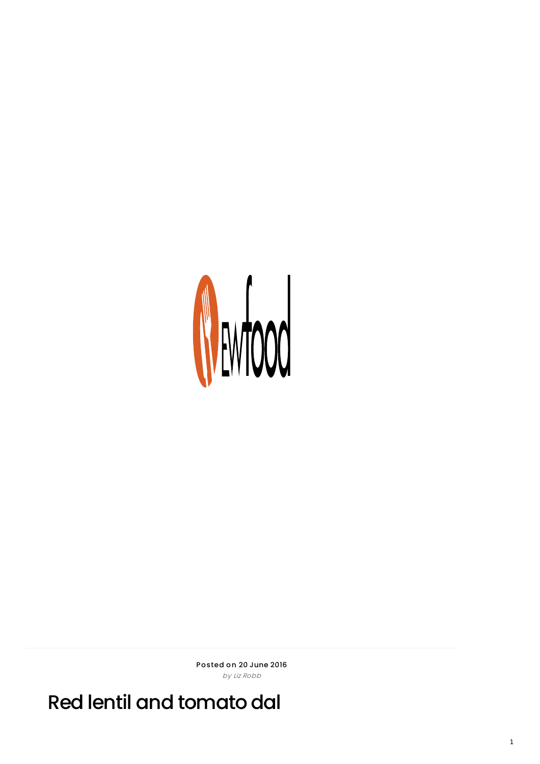

Posted on 20 June 2016 by Liz Robb

Red lentil and tomato dal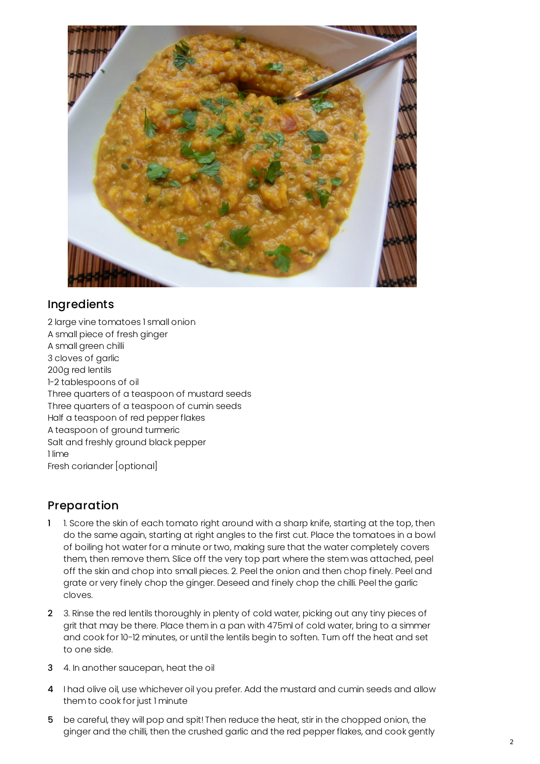

## **Ingredients**

2 large vine tomatoes 1 small onion A small piece of fresh ginger A small green chilli 3 cloves of garlic 200g red lentils 1-2 tablespoons of oil Three quarters of a teaspoon of mustard seeds Three quarters of a teaspoon of cumin seeds Half a teaspoon of red pepper flakes A teaspoon of ground turmeric Salt and freshly ground black pepper 1 lime Fresh coriander [optional]

## Preparation

- 1 1. Score the skin of each tomato right around with a sharp knife, starting at the top, then do the same again, starting at right angles to the first cut. Place the tomatoes in a bowl of boiling hot water for a minute or two, making sure that the water completely covers them, then remove them. Slice off the very top part where the stem was attached, peel off the skin and chop into small pieces. 2. Peel the onion and then chop finely. Peel and grate or very finely chop the ginger. Deseed and finely chop the chilli. Peel the garlic cloves.
- 2 3. Rinse the red lentils thoroughly in plenty of cold water, picking out any tiny pieces of grit that may be there. Place them in a pan with 475ml of cold water, bring to a simmer and cook for 10-12 minutes, or until the lentils begin to soften. Turn off the heat and set to one side.
- 3 4. In another saucepan, heat the oil
- 4 I had olive oil, use whichever oil you prefer. Add the mustard and cumin seeds and allow them to cook for just 1 minute
- 5 be careful, they will pop and spit! Then reduce the heat, stir in the chopped onion, the ginger and the chilli, then the crushed garlic and the red pepper flakes, and cook gently